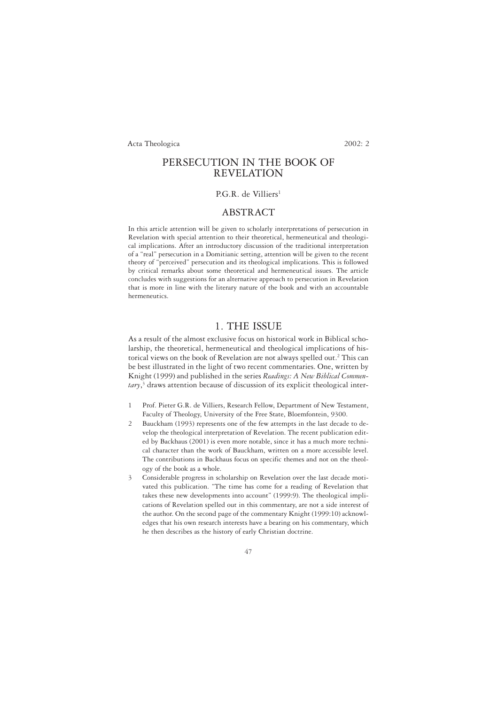# PERSECUTION IN THE BOOK OF REVELATION

## P.G.R. de Villiers<sup>1</sup>

## ABSTRACT

In this article attention will be given to scholarly interpretations of persecution in Revelation with special attention to their theoretical, hermeneutical and theological implications. After an introductory discussion of the traditional interpretation of a "real" persecution in a Domitianic setting, attention will be given to the recent theory of "perceived" persecution and its theological implications. This is followed by critical remarks about some theoretical and hermeneutical issues. The article concludes with suggestions for an alternative approach to persecution in Revelation that is more in line with the literary nature of the book and with an accountable hermeneutics.

## 1. THE ISSUE

As a result of the almost exclusive focus on historical work in Biblical scholarship, the theoretical, hermeneutical and theological implications of historical views on the book of Revelation are not always spelled out.2 This can be best illustrated in the light of two recent commentaries. One, written by Knight (1999) and published in the series *Readings: A New Biblical Commentary*, <sup>3</sup> draws attention because of discussion of its explicit theological inter-

- 1 Prof. Pieter G.R. de Villiers, Research Fellow, Department of New Testament, Faculty of Theology, University of the Free State, Bloemfontein, 9300.
- 2 Bauckham (1993) represents one of the few attempts in the last decade to develop the theological interpretation of Revelation. The recent publication edited by Backhaus (2001) is even more notable, since it has a much more technical character than the work of Bauckham, written on a more accessible level. The contributions in Backhaus focus on specific themes and not on the theology of the book as a whole.
- 3 Considerable progress in scholarship on Revelation over the last decade motivated this publication. "The time has come for a reading of Revelation that takes these new developments into account" (1999:9). The theological implications of Revelation spelled out in this commentary, are not a side interest of the author. On the second page of the commentary Knight (1999:10) acknowledges that his own research interests have a bearing on his commentary, which he then describes as the history of early Christian doctrine.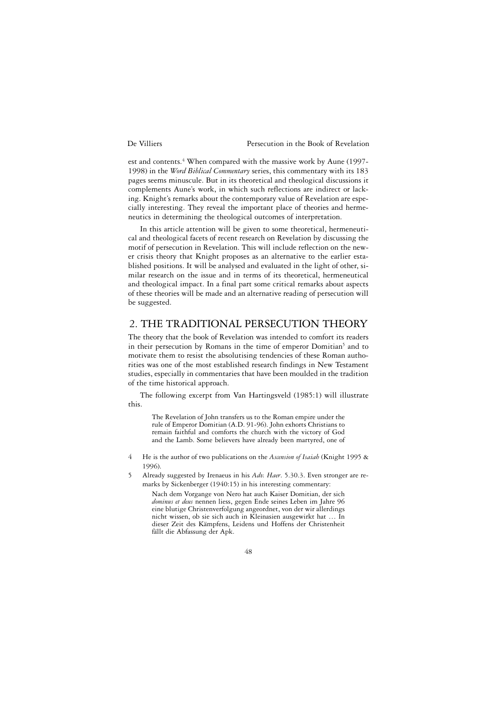est and contents.<sup>4</sup> When compared with the massive work by Aune (1997-1998) in the *Word Biblical Commentary* series, this commentary with its 183 pages seems minuscule. But in its theoretical and theological discussions it complements Aune's work, in which such reflections are indirect or lacking. Knight's remarks about the contemporary value of Revelation are especially interesting. They reveal the important place of theories and hermeneutics in determining the theological outcomes of interpretation.

In this article attention will be given to some theoretical, hermeneutical and theological facets of recent research on Revelation by discussing the motif of persecution in Revelation. This will include reflection on the newer crisis theory that Knight proposes as an alternative to the earlier established positions. It will be analysed and evaluated in the light of other, similar research on the issue and in terms of its theoretical, hermeneutical and theological impact. In a final part some critical remarks about aspects of these theories will be made and an alternative reading of persecution will be suggested.

## 2. THE TRADITIONAL PERSECUTION THEORY

The theory that the book of Revelation was intended to comfort its readers in their persecution by Romans in the time of emperor Domitian<sup>5</sup> and to motivate them to resist the absolutising tendencies of these Roman authorities was one of the most established research findings in New Testament studies, especially in commentaries that have been moulded in the tradition of the time historical approach.

The following excerpt from Van Hartingsveld (1985:1) will illustrate this.

The Revelation of John transfers us to the Roman empire under the rule of Emperor Domitian (A.D. 91-96). John exhorts Christians to remain faithful and comforts the church with the victory of God and the Lamb. Some believers have already been martyred, one of

- 4 He is the author of two publications on the *Ascension of Isaiah* (Knight 1995 & 1996).
- 5 Already suggested by Irenaeus in his *Adv. Haer*. 5.30.3. Even stronger are remarks by Sickenberger (1940:15) in his interesting commentary:

Nach dem Vorgange von Nero hat auch Kaiser Domitian, der sich *dominus et deus* nennen liess, gegen Ende seines Leben im Jahre 96 eine blutige Christenverfolgung angeordnet, von der wir allerdings nicht wissen, ob sie sich auch in Kleinasien ausgewirkt hat … In dieser Zeit des Kämpfens, Leidens und Hoffens der Christenheit fällt die Abfassung der Apk.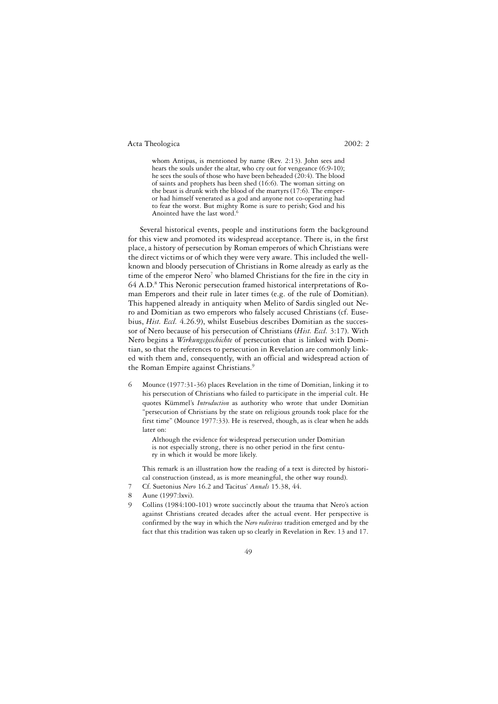whom Antipas, is mentioned by name (Rev. 2:13). John sees and hears the souls under the altar, who cry out for vengeance (6:9-10); he sees the souls of those who have been beheaded (20:4). The blood of saints and prophets has been shed (16:6). The woman sitting on the beast is drunk with the blood of the martyrs (17:6). The emperor had himself venerated as a god and anyone not co-operating had to fear the worst. But mighty Rome is sure to perish; God and his Anointed have the last word.<sup>6</sup>

Several historical events, people and institutions form the background for this view and promoted its widespread acceptance. There is, in the first place, a history of persecution by Roman emperors of which Christians were the direct victims or of which they were very aware. This included the wellknown and bloody persecution of Christians in Rome already as early as the time of the emperor Nero<sup>7</sup> who blamed Christians for the fire in the city in 64 A.D.8 This Neronic persecution framed historical interpretations of Roman Emperors and their rule in later times (e.g. of the rule of Domitian). This happened already in antiquity when Melito of Sardis singled out Nero and Domitian as two emperors who falsely accused Christians (cf. Eusebius, *Hist. Eccl.* 4.26.9), whilst Eusebius describes Domitian as the successor of Nero because of his persecution of Christians (*Hist. Eccl.* 3:17). With Nero begins a *Wirkungsgeschichte* of persecution that is linked with Domitian, so that the references to persecution in Revelation are commonly linked with them and, consequently, with an official and widespread action of the Roman Empire against Christians.<sup>9</sup>

6 Mounce (1977:31-36) places Revelation in the time of Domitian, linking it to his persecution of Christians who failed to participate in the imperial cult. He quotes Kümmel's *Introduction* as authority who wrote that under Domitian "persecution of Christians by the state on religious grounds took place for the first time" (Mounce 1977:33). He is reserved, though, as is clear when he adds later on:

Although the evidence for widespread persecution under Domitian is not especially strong, there is no other period in the first century in which it would be more likely.

This remark is an illustration how the reading of a text is directed by historical construction (instead, as is more meaningful, the other way round).

- 7 Cf. Suetonius *Nero* 16.2 and Tacitus' *Annals* 15.38, 44.
- 8 Aune (1997:lxvi).
- Collins (1984:100-101) wrote succinctly about the trauma that Nero's action against Christians created decades after the actual event. Her perspective is confirmed by the way in which the *Nero redivivus* tradition emerged and by the fact that this tradition was taken up so clearly in Revelation in Rev. 13 and 17.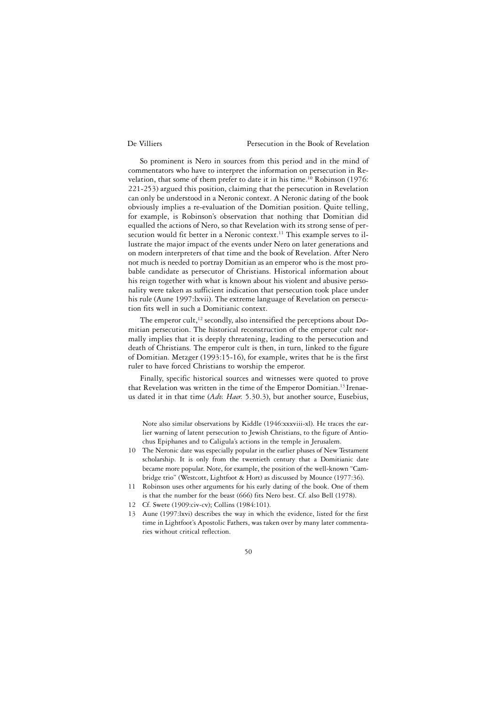So prominent is Nero in sources from this period and in the mind of commentators who have to interpret the information on persecution in Revelation, that some of them prefer to date it in his time.<sup>10</sup> Robinson (1976: 221-253) argued this position, claiming that the persecution in Revelation can only be understood in a Neronic context. A Neronic dating of the book obviously implies a re-evaluation of the Domitian position. Quite telling, for example, is Robinson's observation that nothing that Domitian did equalled the actions of Nero, so that Revelation with its strong sense of persecution would fit better in a Neronic context.<sup>11</sup> This example serves to illustrate the major impact of the events under Nero on later generations and on modern interpreters of that time and the book of Revelation. After Nero not much is needed to portray Domitian as an emperor who is the most probable candidate as persecutor of Christians. Historical information about his reign together with what is known about his violent and abusive personality were taken as sufficient indication that persecution took place under his rule (Aune 1997:lxvii). The extreme language of Revelation on persecution fits well in such a Domitianic context.

The emperor cult, $12$  secondly, also intensified the perceptions about Domitian persecution. The historical reconstruction of the emperor cult normally implies that it is deeply threatening, leading to the persecution and death of Christians. The emperor cult is then, in turn, linked to the figure of Domitian. Metzger (1993:15-16), for example, writes that he is the first ruler to have forced Christians to worship the emperor.

Finally, specific historical sources and witnesses were quoted to prove that Revelation was written in the time of the Emperor Domitian.<sup>13</sup> Irenaeus dated it in that time (*Adv. Haer.* 5.30.3), but another source, Eusebius,

Note also similar observations by Kiddle (1946:xxxviii-xl). He traces the earlier warning of latent persecution to Jewish Christians, to the figure of Antiochus Epiphanes and to Caligula's actions in the temple in Jerusalem.

- 10 The Neronic date was especially popular in the earlier phases of New Testament scholarship. It is only from the twentieth century that a Domitianic date became more popular. Note, for example, the position of the well-known "Cambridge trio" (Westcott, Lightfoot & Hort) as discussed by Mounce (1977:36).
- 11 Robinson uses other arguments for his early dating of the book. One of them is that the number for the beast (666) fits Nero best. Cf. also Bell (1978).
- 12 Cf. Swete (1909:civ-cv); Collins (1984:101).
- 13 Aune (1997:lxvi) describes the way in which the evidence, listed for the first time in Lightfoot's Apostolic Fathers, was taken over by many later commentaries without critical reflection.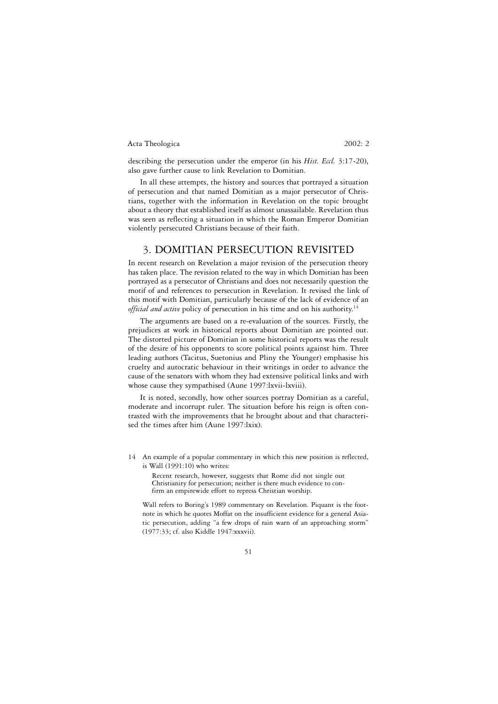describing the persecution under the emperor (in his *Hist. Eccl.* 3:17-20), also gave further cause to link Revelation to Domitian.

In all these attempts, the history and sources that portrayed a situation of persecution and that named Domitian as a major persecutor of Christians, together with the information in Revelation on the topic brought about a theory that established itself as almost unassailable. Revelation thus was seen as reflecting a situation in which the Roman Emperor Domitian violently persecuted Christians because of their faith.

## 3. DOMITIAN PERSECUTION REVISITED

In recent research on Revelation a major revision of the persecution theory has taken place. The revision related to the way in which Domitian has been portrayed as a persecutor of Christians and does not necessarily question the motif of and references to persecution in Revelation. It revised the link of this motif with Domitian, particularly because of the lack of evidence of an *official and active* policy of persecution in his time and on his authority.<sup>14</sup>

The arguments are based on a re-evaluation of the sources. Firstly, the prejudices at work in historical reports about Domitian are pointed out. The distorted picture of Domitian in some historical reports was the result of the desire of his opponents to score political points against him. Three leading authors (Tacitus, Suetonius and Pliny the Younger) emphasise his cruelty and autocratic behaviour in their writings in order to advance the cause of the senators with whom they had extensive political links and with whose cause they sympathised (Aune 1997:lxvii-lxviii).

It is noted, secondly, how other sources portray Domitian as a careful, moderate and incorrupt ruler. The situation before his reign is often contrasted with the improvements that he brought about and that characterised the times after him (Aune 1997:lxix).

- 14 An example of a popular commentary in which this new position is reflected, is Wall (1991:10) who writes:
	- Recent research, however, suggests that Rome did not single out Christianity for persecution; neither is there much evidence to confirm an empirewide effort to repress Christian worship.

Wall refers to Boring's 1989 commentary on Revelation. Piquant is the footnote in which he quotes Moffat on the insufficient evidence for a general Asiatic persecution, adding "a few drops of rain warn of an approaching storm" (1977:33; cf. also Kiddle 1947:xxxvii).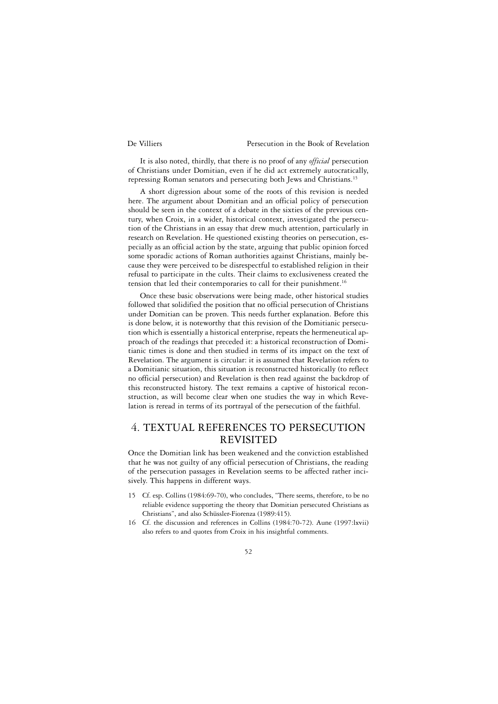It is also noted, thirdly, that there is no proof of any *official* persecution of Christians under Domitian, even if he did act extremely autocratically, repressing Roman senators and persecuting both Jews and Christians.15

A short digression about some of the roots of this revision is needed here. The argument about Domitian and an official policy of persecution should be seen in the context of a debate in the sixties of the previous century, when Croix, in a wider, historical context, investigated the persecution of the Christians in an essay that drew much attention, particularly in research on Revelation. He questioned existing theories on persecution, especially as an official action by the state, arguing that public opinion forced some sporadic actions of Roman authorities against Christians, mainly because they were perceived to be disrespectful to established religion in their refusal to participate in the cults. Their claims to exclusiveness created the tension that led their contemporaries to call for their punishment.<sup>16</sup>

Once these basic observations were being made, other historical studies followed that solidified the position that no official persecution of Christians under Domitian can be proven. This needs further explanation. Before this is done below, it is noteworthy that this revision of the Domitianic persecution which is essentially a historical enterprise, repeats the hermeneutical approach of the readings that preceded it: a historical reconstruction of Domitianic times is done and then studied in terms of its impact on the text of Revelation. The argument is circular: it is assumed that Revelation refers to a Domitianic situation, this situation is reconstructed historically (to reflect no official persecution) and Revelation is then read against the backdrop of this reconstructed history. The text remains a captive of historical reconstruction, as will become clear when one studies the way in which Revelation is reread in terms of its portrayal of the persecution of the faithful.

# 4. TEXTUAL REFERENCES TO PERSECUTION REVISITED

Once the Domitian link has been weakened and the conviction established that he was not guilty of any official persecution of Christians, the reading of the persecution passages in Revelation seems to be affected rather incisively. This happens in different ways.

- 15 Cf. esp. Collins (1984:69-70), who concludes, "There seems, therefore, to be no reliable evidence supporting the theory that Domitian persecuted Christians as Christians", and also Schüssler-Fiorenza (1989:415).
- 16 Cf. the discussion and references in Collins (1984:70-72). Aune (1997:lxvii) also refers to and quotes from Croix in his insightful comments.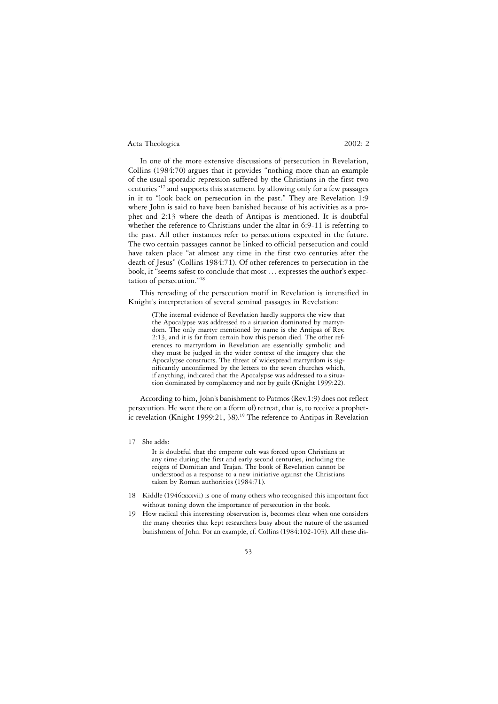In one of the more extensive discussions of persecution in Revelation, Collins (1984:70) argues that it provides "nothing more than an example of the usual sporadic repression suffered by the Christians in the first two centuries"17 and supports this statement by allowing only for a few passages in it to "look back on persecution in the past." They are Revelation 1:9 where John is said to have been banished because of his activities as a prophet and 2:13 where the death of Antipas is mentioned. It is doubtful whether the reference to Christians under the altar in 6:9-11 is referring to the past. All other instances refer to persecutions expected in the future. The two certain passages cannot be linked to official persecution and could have taken place "at almost any time in the first two centuries after the death of Jesus" (Collins 1984:71). Of other references to persecution in the book, it "seems safest to conclude that most … expresses the author's expectation of persecution."18

This rereading of the persecution motif in Revelation is intensified in Knight's interpretation of several seminal passages in Revelation:

(T)he internal evidence of Revelation hardly supports the view that the Apocalypse was addressed to a situation dominated by martyrdom. The only martyr mentioned by name is the Antipas of Rev. 2:13, and it is far from certain how this person died. The other references to martyrdom in Revelation are essentially symbolic and they must be judged in the wider context of the imagery that the Apocalypse constructs. The threat of widespread martyrdom is significantly unconfirmed by the letters to the seven churches which, if anything, indicated that the Apocalypse was addressed to a situation dominated by complacency and not by guilt (Knight 1999:22).

According to him, John's banishment to Patmos (Rev.1:9) does not reflect persecution. He went there on a (form of) retreat, that is, to receive a prophetic revelation (Knight 1999:21, 38).19 The reference to Antipas in Revelation

17 She adds:

It is doubtful that the emperor cult was forced upon Christians at any time during the first and early second centuries, including the reigns of Domitian and Trajan. The book of Revelation cannot be understood as a response to a new initiative against the Christians taken by Roman authorities (1984:71).

- 18 Kiddle (1946:xxxvii) is one of many others who recognised this important fact without toning down the importance of persecution in the book.
- 19 How radical this interesting observation is, becomes clear when one considers the many theories that kept researchers busy about the nature of the assumed banishment of John. For an example, cf. Collins (1984:102-103). All these dis-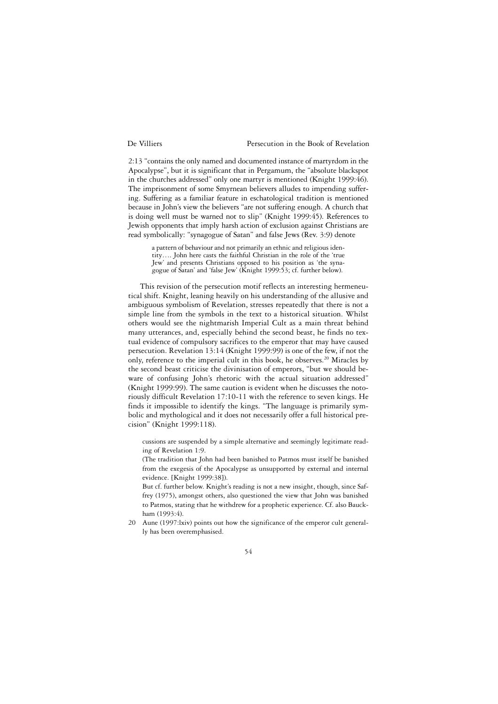2:13 "contains the only named and documented instance of martyrdom in the Apocalypse", but it is significant that in Pergamum, the "absolute blackspot in the churches addressed" only one martyr is mentioned (Knight 1999:46). The imprisonment of some Smyrnean believers alludes to impending suffering. Suffering as a familiar feature in eschatological tradition is mentioned because in John's view the believers "are not suffering enough. A church that is doing well must be warned not to slip" (Knight 1999:45). References to Jewish opponents that imply harsh action of exclusion against Christians are read symbolically: "synagogue of Satan" and false Jews (Rev. 3:9) denote

a pattern of behaviour and not primarily an ethnic and religious identity…. John here casts the faithful Christian in the role of the 'true Jew' and presents Christians opposed to his position as 'the synagogue of Satan' and 'false Jew' (Knight 1999:53; cf. further below).

This revision of the persecution motif reflects an interesting hermeneutical shift. Knight, leaning heavily on his understanding of the allusive and ambiguous symbolism of Revelation, stresses repeatedly that there is not a simple line from the symbols in the text to a historical situation. Whilst others would see the nightmarish Imperial Cult as a main threat behind many utterances, and, especially behind the second beast, he finds no textual evidence of compulsory sacrifices to the emperor that may have caused persecution. Revelation 13:14 (Knight 1999:99) is one of the few, if not the only, reference to the imperial cult in this book, he observes.<sup>20</sup> Miracles by the second beast criticise the divinisation of emperors, "but we should beware of confusing John's rhetoric with the actual situation addressed" (Knight 1999:99). The same caution is evident when he discusses the notoriously difficult Revelation 17:10-11 with the reference to seven kings. He finds it impossible to identify the kings. "The language is primarily symbolic and mythological and it does not necessarily offer a full historical precision" (Knight 1999:118).

cussions are suspended by a simple alternative and seemingly legitimate reading of Revelation 1:9.

(The tradition that John had been banished to Patmos must itself be banished from the exegesis of the Apocalypse as unsupported by external and internal evidence. [Knight 1999:38]).

But cf. further below. Knight's reading is not a new insight, though, since Saffrey (1975), amongst others, also questioned the view that John was banished to Patmos, stating that he withdrew for a prophetic experience. Cf. also Bauckham (1993:4).

20 Aune (1997:lxiv) points out how the significance of the emperor cult generally has been overemphasised.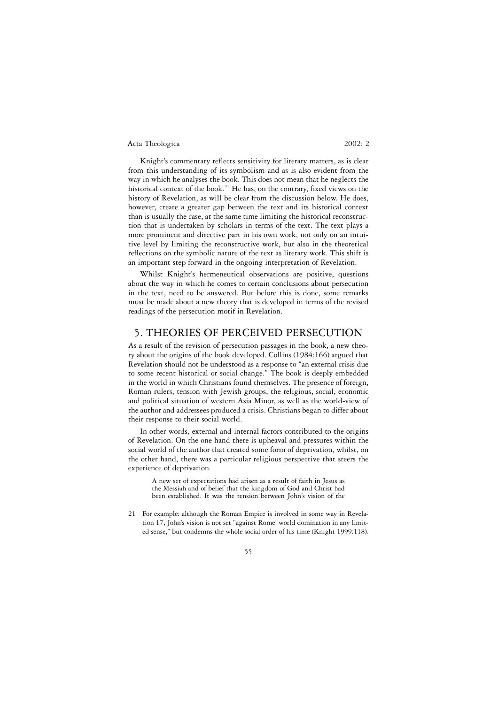Knight's commentary reflects sensitivity for literary matters, as is clear from this understanding of its symbolism and as is also evident from the way in which he analyses the book. This does not mean that he neglects the historical context of the book.<sup>21</sup> He has, on the contrary, fixed views on the history of Revelation, as will be clear from the discussion below. He does, however, create a greater gap between the text and its historical context than is usually the case, at the same time limiting the historical reconstruction that is undertaken by scholars in terms of the text. The text plays a more prominent and directive part in his own work, not only on an intuitive level by limiting the reconstructive work, but also in the theoretical reflections on the symbolic nature of the text as literary work. This shift is an important step forward in the ongoing interpretation of Revelation.

Whilst Knight's hermeneutical observations are positive, questions about the way in which he comes to certain conclusions about persecution in the text, need to be answered. But before this is done, some remarks must be made about a new theory that is developed in terms of the revised readings of the persecution motif in Revelation.

## 5. THEORIES OF PERCEIVED PERSECUTION

As a result of the revision of persecution passages in the book, a new theory about the origins of the book developed. Collins (1984:166) argued that Revelation should not be understood as a response to "an external crisis due to some recent historical or social change." The book is deeply embedded in the world in which Christians found themselves. The presence of foreign, Roman rulers, tension with Jewish groups, the religious, social, economic and political situation of western Asia Minor, as well as the world-view of the author and addressees produced a crisis. Christians began to differ about their response to their social world.

In other words, external and internal factors contributed to the origins of Revelation. On the one hand there is upheaval and pressures within the social world of the author that created some form of deprivation, whilst, on the other hand, there was a particular religious perspective that steers the experience of deprivation.

A new set of expectations had arisen as a result of faith in Jesus as the Messiah and of belief that the kingdom of God and Christ had been established. It was the tension between John's vision of the

21 For example: although the Roman Empire is involved in some way in Revelation 17, John's vision is not set "against Rome' world domination in any limited sense," but condemns the whole social order of his time (Knight 1999:118).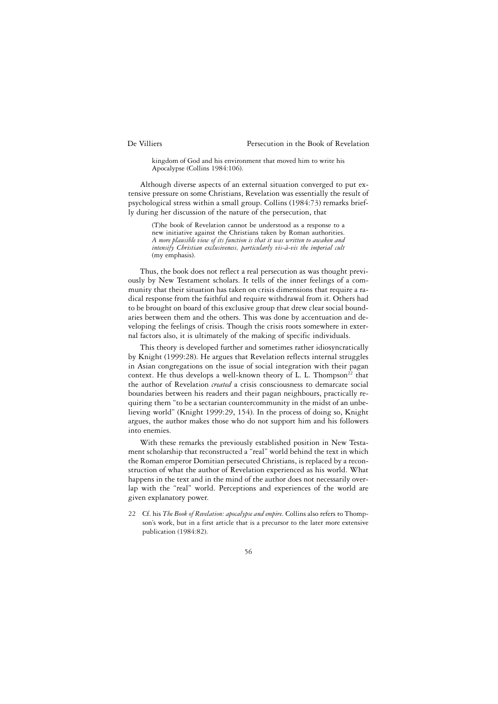kingdom of God and his environment that moved him to write his Apocalypse (Collins 1984:106).

Although diverse aspects of an external situation converged to put extensive pressure on some Christians, Revelation was essentially the result of psychological stress within a small group. Collins (1984:73) remarks briefly during her discussion of the nature of the persecution, that

(T)he book of Revelation cannot be understood as a response to a new initiative against the Christians taken by Roman authorities. *A more plausible view of its function is that it was written to awaken and intensify Christian exclusiveness, particularly vis-à-vis the imperial cult* (my emphasis).

Thus, the book does not reflect a real persecution as was thought previously by New Testament scholars. It tells of the inner feelings of a community that their situation has taken on crisis dimensions that require a radical response from the faithful and require withdrawal from it. Others had to be brought on board of this exclusive group that drew clear social boundaries between them and the others. This was done by accentuation and developing the feelings of crisis. Though the crisis roots somewhere in external factors also, it is ultimately of the making of specific individuals.

This theory is developed further and sometimes rather idiosyncratically by Knight (1999:28). He argues that Revelation reflects internal struggles in Asian congregations on the issue of social integration with their pagan context. He thus develops a well-known theory of L. L. Thompson<sup>22</sup> that the author of Revelation *created* a crisis consciousness to demarcate social boundaries between his readers and their pagan neighbours, practically requiring them "to be a sectarian countercommunity in the midst of an unbelieving world" (Knight 1999:29, 154). In the process of doing so, Knight argues, the author makes those who do not support him and his followers into enemies.

With these remarks the previously established position in New Testament scholarship that reconstructed a "real" world behind the text in which the Roman emperor Domitian persecuted Christians, is replaced by a reconstruction of what the author of Revelation experienced as his world. What happens in the text and in the mind of the author does not necessarily overlap with the "real" world. Perceptions and experiences of the world are given explanatory power.

22 Cf. his *The Book of Revelation: apocalypse and empire*. Collins also refers to Thompson's work, but in a first article that is a precursor to the later more extensive publication (1984:82).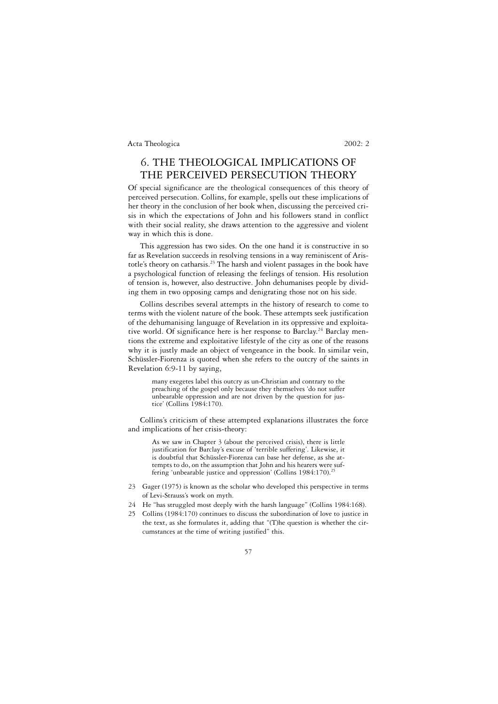# 6. THE THEOLOGICAL IMPLICATIONS OF THE PERCEIVED PERSECUTION THEORY

Of special significance are the theological consequences of this theory of perceived persecution. Collins, for example, spells out these implications of her theory in the conclusion of her book when, discussing the perceived crisis in which the expectations of John and his followers stand in conflict with their social reality, she draws attention to the aggressive and violent way in which this is done.

This aggression has two sides. On the one hand it is constructive in so far as Revelation succeeds in resolving tensions in a way reminiscent of Aristotle's theory on catharsis.23 The harsh and violent passages in the book have a psychological function of releasing the feelings of tension. His resolution of tension is, however, also destructive. John dehumanises people by dividing them in two opposing camps and denigrating those not on his side.

Collins describes several attempts in the history of research to come to terms with the violent nature of the book. These attempts seek justification of the dehumanising language of Revelation in its oppressive and exploitative world. Of significance here is her response to Barclay.<sup>24</sup> Barclay mentions the extreme and exploitative lifestyle of the city as one of the reasons why it is justly made an object of vengeance in the book. In similar vein, Schüssler-Fiorenza is quoted when she refers to the outcry of the saints in Revelation 6:9-11 by saying,

many exegetes label this outcry as un-Christian and contrary to the preaching of the gospel only because they themselves 'do not suffer unbearable oppression and are not driven by the question for justice' (Collins 1984:170).

Collins's criticism of these attempted explanations illustrates the force and implications of her crisis-theory:

As we saw in Chapter 3 (about the perceived crisis), there is little justification for Barclay's excuse of 'terrible suffering'. Likewise, it is doubtful that Schüssler-Fiorenza can base her defense, as she attempts to do, on the assumption that John and his hearers were suffering 'unbearable justice and oppression' (Collins 1984:170).<sup>25</sup>

- 23 Gager (1975) is known as the scholar who developed this perspective in terms of Levi-Strauss's work on myth.
- 24 He "has struggled most deeply with the harsh language" (Collins 1984:168).
- 25 Collins (1984:170) continues to discuss the subordination of love to justice in the text, as she formulates it, adding that "(T)he question is whether the circumstances at the time of writing justified" this.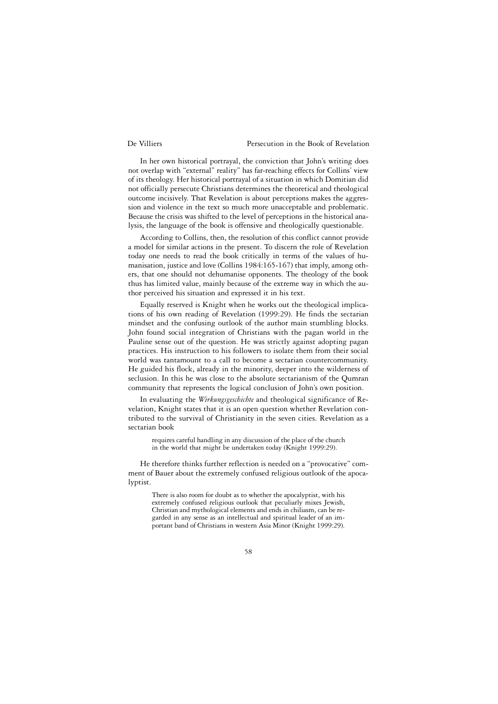In her own historical portrayal, the conviction that John's writing does not overlap with "external" reality" has far-reaching effects for Collins' view of its theology. Her historical portrayal of a situation in which Domitian did not officially persecute Christians determines the theoretical and theological outcome incisively. That Revelation is about perceptions makes the aggression and violence in the text so much more unacceptable and problematic. Because the crisis was shifted to the level of perceptions in the historical analysis, the language of the book is offensive and theologically questionable.

According to Collins, then, the resolution of this conflict cannot provide a model for similar actions in the present. To discern the role of Revelation today one needs to read the book critically in terms of the values of humanisation, justice and love (Collins 1984:165-167) that imply, among others, that one should not dehumanise opponents. The theology of the book thus has limited value, mainly because of the extreme way in which the author perceived his situation and expressed it in his text.

Equally reserved is Knight when he works out the theological implications of his own reading of Revelation (1999:29). He finds the sectarian mindset and the confusing outlook of the author main stumbling blocks. John found social integration of Christians with the pagan world in the Pauline sense out of the question. He was strictly against adopting pagan practices. His instruction to his followers to isolate them from their social world was tantamount to a call to become a sectarian countercommunity. He guided his flock, already in the minority, deeper into the wilderness of seclusion. In this he was close to the absolute sectarianism of the Qumran community that represents the logical conclusion of John's own position.

In evaluating the *Wirkungsgeschichte* and theological significance of Revelation, Knight states that it is an open question whether Revelation contributed to the survival of Christianity in the seven cities. Revelation as a sectarian book

requires careful handling in any discussion of the place of the church in the world that might be undertaken today (Knight 1999:29).

He therefore thinks further reflection is needed on a "provocative" comment of Bauer about the extremely confused religious outlook of the apocalyptist.

There is also room for doubt as to whether the apocalyptist, with his extremely confused religious outlook that peculiarly mixes Jewish, Christian and mythological elements and ends in chiliasm, can be regarded in any sense as an intellectual and spiritual leader of an important band of Christians in western Asia Minor (Knight 1999:29).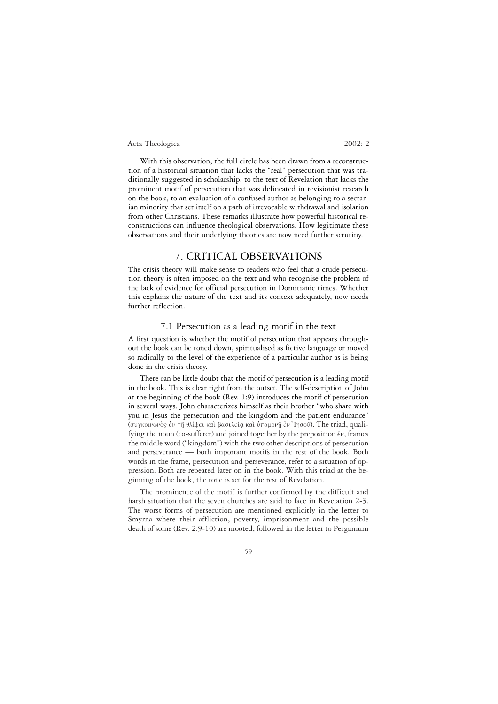With this observation, the full circle has been drawn from a reconstruction of a historical situation that lacks the "real" persecution that was traditionally suggested in scholarship, to the text of Revelation that lacks the prominent motif of persecution that was delineated in revisionist research on the book, to an evaluation of a confused author as belonging to a sectarian minority that set itself on a path of irrevocable withdrawal and isolation from other Christians. These remarks illustrate how powerful historical reconstructions can influence theological observations. How legitimate these observations and their underlying theories are now need further scrutiny.

## 7. CRITICAL OBSERVATIONS

The crisis theory will make sense to readers who feel that a crude persecution theory is often imposed on the text and who recognise the problem of the lack of evidence for official persecution in Domitianic times. Whether this explains the nature of the text and its context adequately, now needs further reflection.

## 7.1 Persecution as a leading motif in the text

A first question is whether the motif of persecution that appears throughout the book can be toned down, spiritualised as fictive language or moved so radically to the level of the experience of a particular author as is being done in the crisis theory.

There can be little doubt that the motif of persecution is a leading motif in the book. This is clear right from the outset. The self-description of John at the beginning of the book (Rev. 1:9) introduces the motif of persecution in several ways. John characterizes himself as their brother "who share with you in Jesus the persecution and the kingdom and the patient endurance" (συγκοινωνός έν τη θλίψει και βασιλεία και υπομονη έν 'Iησού). The triad, qualifying the noun (co-sufferer) and joined together by the preposition  $\epsilon v$ , frames the middle word ("kingdom") with the two other descriptions of persecution and perseverance — both important motifs in the rest of the book. Both words in the frame, persecution and perseverance, refer to a situation of oppression. Both are repeated later on in the book. With this triad at the beginning of the book, the tone is set for the rest of Revelation.

The prominence of the motif is further confirmed by the difficult and harsh situation that the seven churches are said to face in Revelation 2-3. The worst forms of persecution are mentioned explicitly in the letter to Smyrna where their affliction, poverty, imprisonment and the possible death of some (Rev. 2:9-10) are mooted, followed in the letter to Pergamum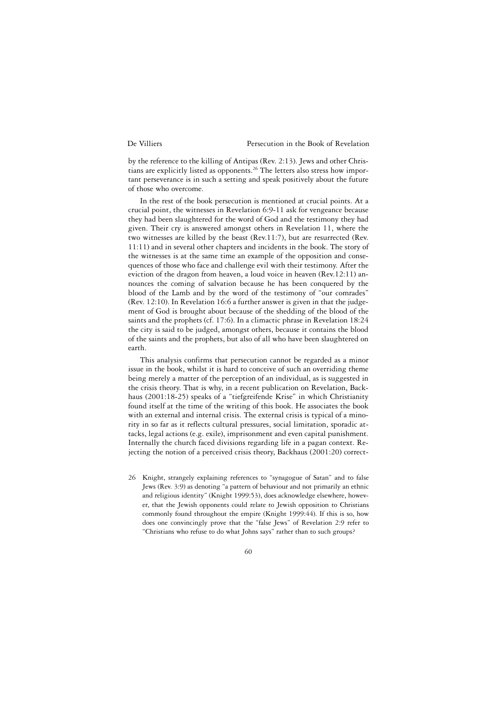by the reference to the killing of Antipas (Rev. 2:13). Jews and other Christians are explicitly listed as opponents.26 The letters also stress how important perseverance is in such a setting and speak positively about the future of those who overcome.

In the rest of the book persecution is mentioned at crucial points. At a crucial point, the witnesses in Revelation 6:9-11 ask for vengeance because they had been slaughtered for the word of God and the testimony they had given. Their cry is answered amongst others in Revelation 11, where the two witnesses are killed by the beast (Rev.11:7), but are resurrected (Rev. 11:11) and in several other chapters and incidents in the book. The story of the witnesses is at the same time an example of the opposition and consequences of those who face and challenge evil with their testimony. After the eviction of the dragon from heaven, a loud voice in heaven (Rev.12:11) announces the coming of salvation because he has been conquered by the blood of the Lamb and by the word of the testimony of "our comrades" (Rev. 12:10). In Revelation 16:6 a further answer is given in that the judgement of God is brought about because of the shedding of the blood of the saints and the prophets (cf. 17:6). In a climactic phrase in Revelation 18:24 the city is said to be judged, amongst others, because it contains the blood of the saints and the prophets, but also of all who have been slaughtered on earth.

This analysis confirms that persecution cannot be regarded as a minor issue in the book, whilst it is hard to conceive of such an overriding theme being merely a matter of the perception of an individual, as is suggested in the crisis theory. That is why, in a recent publication on Revelation, Backhaus (2001:18-25) speaks of a "tiefgreifende Krise" in which Christianity found itself at the time of the writing of this book. He associates the book with an external and internal crisis. The external crisis is typical of a minority in so far as it reflects cultural pressures, social limitation, sporadic attacks, legal actions (e.g. exile), imprisonment and even capital punishment. Internally the church faced divisions regarding life in a pagan context. Rejecting the notion of a perceived crisis theory, Backhaus (2001:20) correct-

26 Knight, strangely explaining references to "synagogue of Satan" and to false Jews (Rev. 3:9) as denoting "a pattern of behaviour and not primarily an ethnic and religious identity" (Knight 1999:53), does acknowledge elsewhere, however, that the Jewish opponents could relate to Jewish opposition to Christians commonly found throughout the empire (Knight 1999:44). If this is so, how does one convincingly prove that the "false Jews" of Revelation 2:9 refer to "Christians who refuse to do what Johns says" rather than to such groups?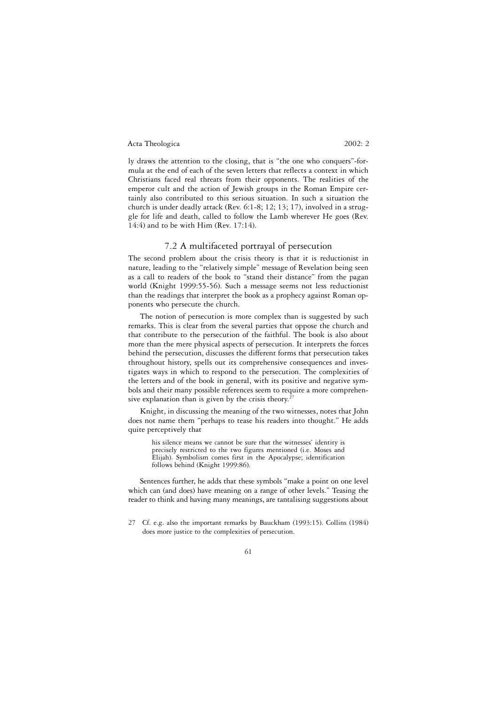ly draws the attention to the closing, that is "the one who conquers"-formula at the end of each of the seven letters that reflects a context in which Christians faced real threats from their opponents. The realities of the emperor cult and the action of Jewish groups in the Roman Empire certainly also contributed to this serious situation. In such a situation the church is under deadly attack (Rev. 6:1-8; 12; 13; 17), involved in a struggle for life and death, called to follow the Lamb wherever He goes (Rev. 14:4) and to be with Him (Rev. 17:14).

### 7.2 A multifaceted portrayal of persecution

The second problem about the crisis theory is that it is reductionist in nature, leading to the "relatively simple" message of Revelation being seen as a call to readers of the book to "stand their distance" from the pagan world (Knight 1999:55-56). Such a message seems not less reductionist than the readings that interpret the book as a prophecy against Roman opponents who persecute the church.

The notion of persecution is more complex than is suggested by such remarks. This is clear from the several parties that oppose the church and that contribute to the persecution of the faithful. The book is also about more than the mere physical aspects of persecution. It interprets the forces behind the persecution, discusses the different forms that persecution takes throughout history, spells out its comprehensive consequences and investigates ways in which to respond to the persecution. The complexities of the letters and of the book in general, with its positive and negative symbols and their many possible references seem to require a more comprehensive explanation than is given by the crisis theory.<sup>2</sup>

Knight, in discussing the meaning of the two witnesses, notes that John does not name them "perhaps to tease his readers into thought." He adds quite perceptively that

his silence means we cannot be sure that the witnesses' identity is precisely restricted to the two figures mentioned (i.e. Moses and Elijah). Symbolism comes first in the Apocalypse; identification follows behind (Knight 1999:86).

Sentences further, he adds that these symbols "make a point on one level which can (and does) have meaning on a range of other levels." Teasing the reader to think and having many meanings, are tantalising suggestions about

<sup>27</sup> Cf. e.g. also the important remarks by Bauckham (1993:15). Collins (1984) does more justice to the complexities of persecution.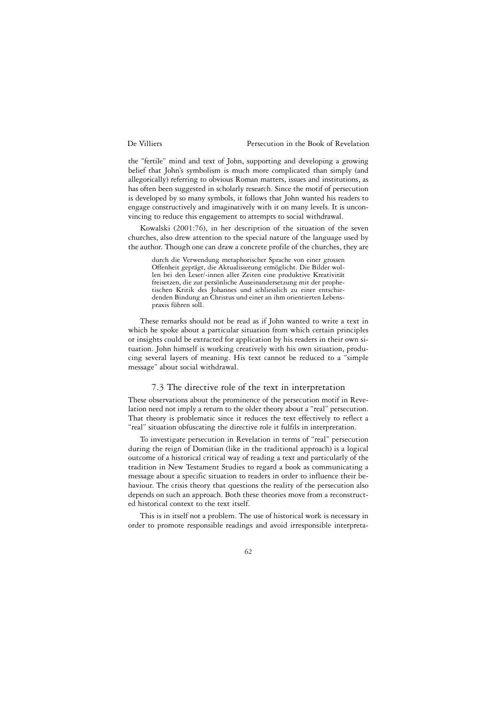the "fertile" mind and text of John, supporting and developing a growing belief that John's symbolism is much more complicated than simply (and allegorically) referring to obvious Roman matters, issues and institutions, as has often been suggested in scholarly research. Since the motif of persecution is developed by so many symbols, it follows that John wanted his readers to engage constructively and imaginatively with it on many levels. It is unconvincing to reduce this engagement to attempts to social withdrawal.

Kowalski (2001:76), in her description of the situation of the seven churches, also drew attention to the special nature of the language used by the author. Though one can draw a concrete profile of the churches, they are

durch die Verwendung metaphorischer Sprache von einer grossen Offenheit geprägt, die Aktualisierung ermöglicht. Die Bilder wollen bei den Leser/-innen aller Zeiten eine produktive Kreativität freisetzen, die zur persönliche Auseinandersetzung mit der prophetischen Kritik des Johannes und schliesslich zu einer entschiedenden Bindung an Christus und einer an ihm orientierten Lebenspraxis führen soll.

These remarks should not be read as if John wanted to write a text in which he spoke about a particular situation from which certain principles or insights could be extracted for application by his readers in their own situation. John himself is working creatively with his own situation, producing several layers of meaning. His text cannot be reduced to a "simple message" about social withdrawal.

## 7.3 The directive role of the text in interpretation

These observations about the prominence of the persecution motif in Revelation need not imply a return to the older theory about a "real" persecution. That theory is problematic since it reduces the text effectively to reflect a "real" situation obfuscating the directive role it fulfils in interpretation.

To investigate persecution in Revelation in terms of "real" persecution during the reign of Domitian (like in the traditional approach) is a logical outcome of a historical critical way of reading a text and particularly of the tradition in New Testament Studies to regard a book as communicating a message about a specific situation to readers in order to influence their behaviour. The crisis theory that questions the reality of the persecution also depends on such an approach. Both these theories move from a reconstructed historical context to the text itself.

This is in itself not a problem. The use of historical work is necessary in order to promote responsible readings and avoid irresponsible interpreta-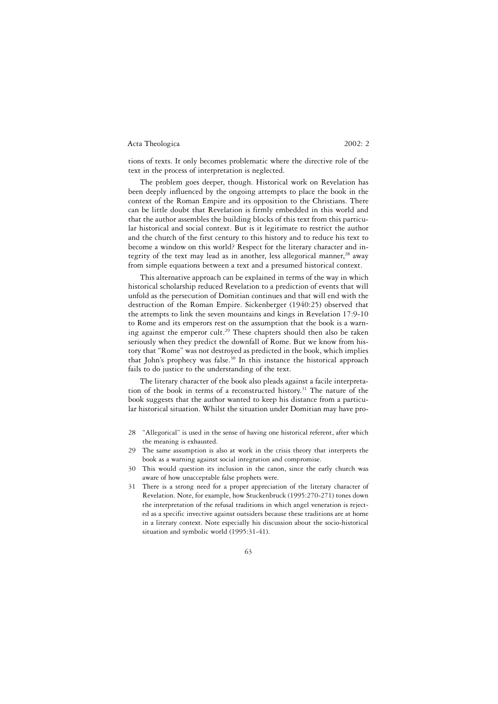tions of texts. It only becomes problematic where the directive role of the text in the process of interpretation is neglected.

The problem goes deeper, though. Historical work on Revelation has been deeply influenced by the ongoing attempts to place the book in the context of the Roman Empire and its opposition to the Christians. There can be little doubt that Revelation is firmly embedded in this world and that the author assembles the building blocks of this text from this particular historical and social context. But is it legitimate to restrict the author and the church of the first century to this history and to reduce his text to become a window on this world? Respect for the literary character and integrity of the text may lead as in another, less allegorical manner,  $28$  away from simple equations between a text and a presumed historical context.

This alternative approach can be explained in terms of the way in which historical scholarship reduced Revelation to a prediction of events that will unfold as the persecution of Domitian continues and that will end with the destruction of the Roman Empire. Sickenberger (1940:25) observed that the attempts to link the seven mountains and kings in Revelation 17:9-10 to Rome and its emperors rest on the assumption that the book is a warning against the emperor cult.<sup>29</sup> These chapters should then also be taken seriously when they predict the downfall of Rome. But we know from history that "Rome" was not destroyed as predicted in the book, which implies that John's prophecy was false.<sup>30</sup> In this instance the historical approach fails to do justice to the understanding of the text.

The literary character of the book also pleads against a facile interpretation of the book in terms of a reconstructed history.<sup>31</sup> The nature of the book suggests that the author wanted to keep his distance from a particular historical situation. Whilst the situation under Domitian may have pro-

- 28 "Allegorical" is used in the sense of having one historical referent, after which the meaning is exhausted.
- 29 The same assumption is also at work in the crisis theory that interprets the book as a warning against social integration and compromise.
- 30 This would question its inclusion in the canon, since the early church was aware of how unacceptable false prophets were.
- 31 There is a strong need for a proper appreciation of the literary character of Revelation. Note, for example, how Stuckenbruck (1995:270-271) tones down the interpretation of the refusal traditions in which angel veneration is rejected as a specific invective against outsiders because these traditions are at home in a literary context. Note especially his discussion about the socio-historical situation and symbolic world (1995:31-41).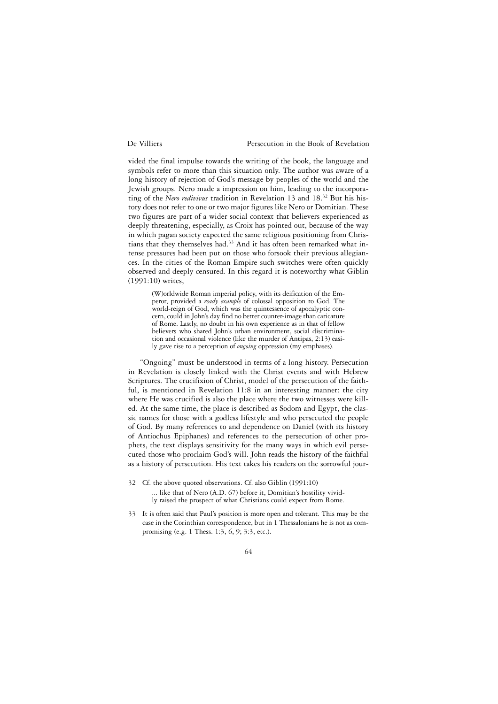vided the final impulse towards the writing of the book, the language and symbols refer to more than this situation only. The author was aware of a long history of rejection of God's message by peoples of the world and the Jewish groups. Nero made a impression on him, leading to the incorporating of the *Nero redivivus* tradition in Revelation 13 and 18.32 But his history does not refer to one or two major figures like Nero or Domitian. These two figures are part of a wider social context that believers experienced as deeply threatening, especially, as Croix has pointed out, because of the way in which pagan society expected the same religious positioning from Christians that they themselves had.<sup>33</sup> And it has often been remarked what intense pressures had been put on those who forsook their previous allegiances. In the cities of the Roman Empire such switches were often quickly observed and deeply censured. In this regard it is noteworthy what Giblin (1991:10) writes,

(W)orldwide Roman imperial policy, with its deification of the Emperor, provided a *ready example* of colossal opposition to God. The world-reign of God, which was the quintessence of apocalyptic concern, could in John's day find no better counter-image than caricature of Rome. Lastly, no doubt in his own experience as in that of fellow believers who shared John's urban environment, social discrimination and occasional violence (like the murder of Antipas, 2:13) easily gave rise to a perception of *ongoing* oppression (my emphases).

"Ongoing" must be understood in terms of a long history. Persecution in Revelation is closely linked with the Christ events and with Hebrew Scriptures. The crucifixion of Christ, model of the persecution of the faithful, is mentioned in Revelation 11:8 in an interesting manner: the city where He was crucified is also the place where the two witnesses were killed. At the same time, the place is described as Sodom and Egypt, the classic names for those with a godless lifestyle and who persecuted the people of God. By many references to and dependence on Daniel (with its history of Antiochus Epiphanes) and references to the persecution of other prophets, the text displays sensitivity for the many ways in which evil persecuted those who proclaim God's will. John reads the history of the faithful as a history of persecution. His text takes his readers on the sorrowful jour-

- 32 Cf. the above quoted observations. Cf. also Giblin (1991:10) ... like that of Nero (A.D. 67) before it, Domitian's hostility vividly raised the prospect of what Christians could expect from Rome.
- 33 It is often said that Paul's position is more open and tolerant. This may be the case in the Corinthian correspondence, but in 1 Thessalonians he is not as compromising (e.g. 1 Thess. 1:3, 6, 9; 3:3, etc.).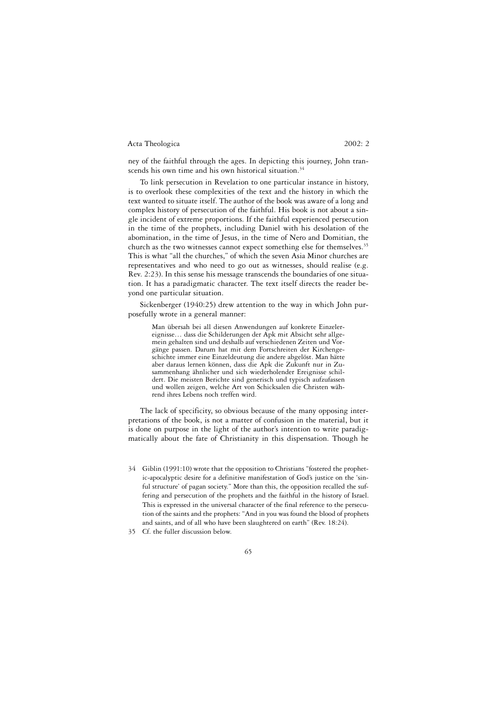ney of the faithful through the ages. In depicting this journey, John transcends his own time and his own historical situation.<sup>34</sup>

To link persecution in Revelation to one particular instance in history, is to overlook these complexities of the text and the history in which the text wanted to situate itself. The author of the book was aware of a long and complex history of persecution of the faithful. His book is not about a single incident of extreme proportions. If the faithful experienced persecution in the time of the prophets, including Daniel with his desolation of the abomination, in the time of Jesus, in the time of Nero and Domitian, the church as the two witnesses cannot expect something else for themselves.<sup>35</sup> This is what "all the churches," of which the seven Asia Minor churches are representatives and who need to go out as witnesses, should realise (e.g. Rev. 2:23). In this sense his message transcends the boundaries of one situation. It has a paradigmatic character. The text itself directs the reader beyond one particular situation.

Sickenberger (1940:25) drew attention to the way in which John purposefully wrote in a general manner:

Man übersah bei all diesen Anwendungen auf konkrete Einzelereignisse… dass die Schilderungen der Apk mit Absicht sehr allgemein gehalten sind und deshalb auf verschiedenen Zeiten und Vorgänge passen. Darum hat mit dem Fortschreiten der Kirchengeschichte immer eine Einzeldeutung die andere abgelöst. Man hätte aber daraus lernen können, dass die Apk die Zukunft nur in Zusammenhang ähnlicher und sich wiederholender Ereignisse schildert. Die meisten Berichte sind generisch und typisch aufzufassen und wollen zeigen, welche Art von Schicksalen die Christen während ihres Lebens noch treffen wird.

The lack of specificity, so obvious because of the many opposing interpretations of the book, is not a matter of confusion in the material, but it is done on purpose in the light of the author's intention to write paradigmatically about the fate of Christianity in this dispensation. Though he

- 34 Giblin (1991:10) wrote that the opposition to Christians "fostered the prophetic-apocalyptic desire for a definitive manifestation of God's justice on the 'sinful structure' of pagan society." More than this, the opposition recalled the suffering and persecution of the prophets and the faithful in the history of Israel. This is expressed in the universal character of the final reference to the persecution of the saints and the prophets: "And in you was found the blood of prophets and saints, and of all who have been slaughtered on earth" (Rev. 18:24).
- 35 Cf. the fuller discussion below.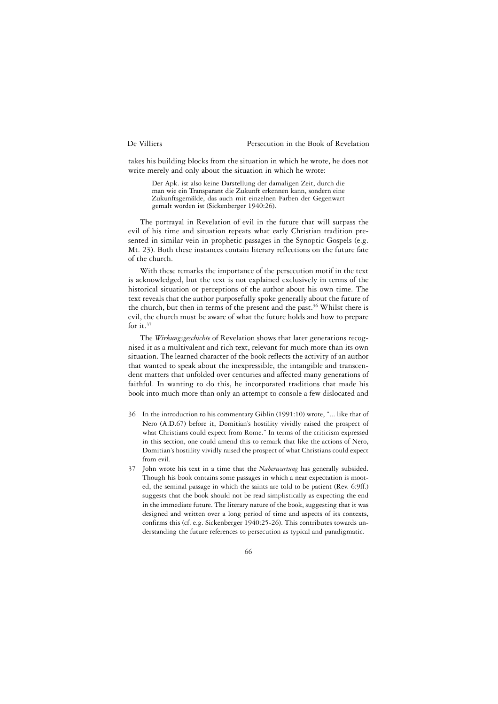takes his building blocks from the situation in which he wrote, he does not write merely and only about the situation in which he wrote:

Der Apk. ist also keine Darstellung der damaligen Zeit, durch die man wie ein Transparant die Zukunft erkennen kann, sondern eine Zukunftsgemälde, das auch mit einzelnen Farben der Gegenwart gemalt worden ist (Sickenberger 1940:26).

The portrayal in Revelation of evil in the future that will surpass the evil of his time and situation repeats what early Christian tradition presented in similar vein in prophetic passages in the Synoptic Gospels (e.g. Mt. 23). Both these instances contain literary reflections on the future fate of the church.

With these remarks the importance of the persecution motif in the text is acknowledged, but the text is not explained exclusively in terms of the historical situation or perceptions of the author about his own time. The text reveals that the author purposefully spoke generally about the future of the church, but then in terms of the present and the past.<sup>36</sup> Whilst there is evil, the church must be aware of what the future holds and how to prepare for it.<sup>37</sup>

The *Wirkungsgeschichte* of Revelation shows that later generations recognised it as a multivalent and rich text, relevant for much more than its own situation. The learned character of the book reflects the activity of an author that wanted to speak about the inexpressible, the intangible and transcendent matters that unfolded over centuries and affected many generations of faithful. In wanting to do this, he incorporated traditions that made his book into much more than only an attempt to console a few dislocated and

- 36 In the introduction to his commentary Giblin (1991:10) wrote, "... like that of Nero (A.D.67) before it, Domitian's hostility vividly raised the prospect of what Christians could expect from Rome." In terms of the criticism expressed in this section, one could amend this to remark that like the actions of Nero, Domitian's hostility vividly raised the prospect of what Christians could expect from evil.
- 37 John wrote his text in a time that the *Naherwartung* has generally subsided. Though his book contains some passages in which a near expectation is mooted, the seminal passage in which the saints are told to be patient (Rev. 6:9ff.) suggests that the book should not be read simplistically as expecting the end in the immediate future. The literary nature of the book, suggesting that it was designed and written over a long period of time and aspects of its contexts, confirms this (cf. e.g. Sickenberger 1940:25-26). This contributes towards understanding the future references to persecution as typical and paradigmatic.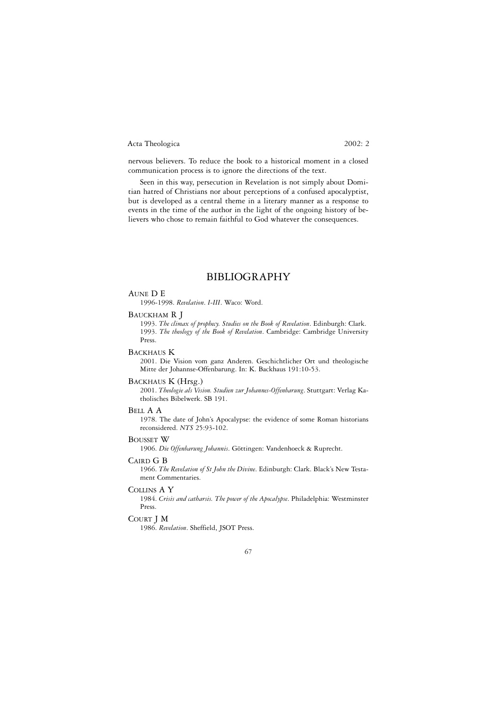nervous believers. To reduce the book to a historical moment in a closed communication process is to ignore the directions of the text.

Seen in this way, persecution in Revelation is not simply about Domitian hatred of Christians nor about perceptions of a confused apocalyptist, but is developed as a central theme in a literary manner as a response to events in the time of the author in the light of the ongoing history of believers who chose to remain faithful to God whatever the consequences.

## BIBLIOGRAPHY

#### AUNE D E

1996-1998. *Revelation*. *I-III*. Waco: Word.

#### BAUCKHAM R J

1993. *The climax of prophecy. Studies on the Book of Revelation*. Edinburgh: Clark. 1993. *The theology of the Book of Revelation*. Cambridge: Cambridge University Press.

### BACKHAUS K

2001. Die Vision vom ganz Anderen. Geschichtlicher Ort und theologische Mitte der Johannse-Offenbarung. In: K. Backhaus 191:10-53.

### BACKHAUS K (Hrsg.)

2001. *Theologie als Vision. Studien zur Johannes-Offenbarung*. Stuttgart: Verlag Katholisches Bibelwerk. SB 191.

#### BELL A A

1978. The date of John's Apocalypse: the evidence of some Roman historians reconsidered. *NTS* 25:93-102.

#### BOUSSET W

1906. *Die Offenbarung Johannis*. Göttingen: Vandenhoeck & Ruprecht.

## CAIRD G B

1966. *The Revelation of St John the Divine*. Edinburgh: Clark. Black's New Testament Commentaries.

#### COLLINS A Y

1984. *Crisis and catharsis. The power of the Apocalypse*. Philadelphia: Westminster Press.

#### COURT J M

1986. *Revelation*. Sheffield, JSOT Press.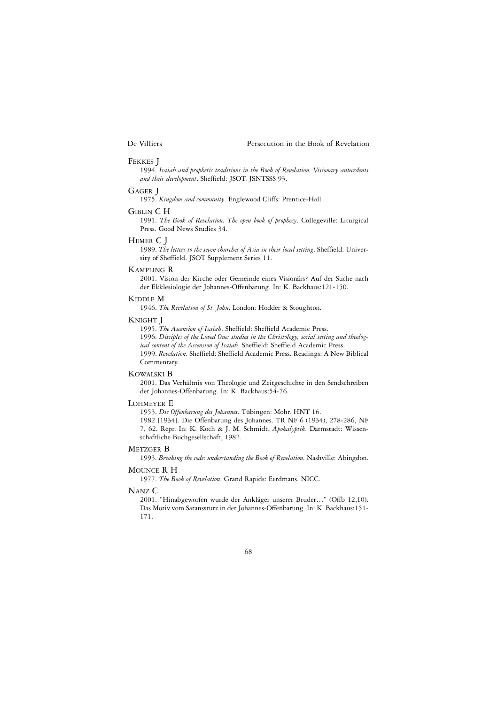#### FEKKES J

1994. *Isaiah and prophetic traditions in the Book of Revelation. Visionary antecedents and their development*. Sheffield: JSOT. JSNTSSS 93.

#### GAGER J

1975. *Kingdom and community*. Englewood Cliffs: Prentice-Hall.

#### GIBLIN C H

1991. *The Book of Revelation. The open book of prophecy*. Collegeville: Liturgical Press. Good News Studies 34.

#### HEMER C J

1989. *The letters to the seven churches of Asia in their local setting*. Sheffield: University of Sheffield. JSOT Supplement Series 11.

#### KAMPLING R

2001. Vision der Kirche oder Gemeinde eines Visionärs? Auf der Suche nach der Ekklesiologie der Johannes-Offenbarung. In: K. Backhaus:121-150.

### KIDDLE M

1946. *The Revelation of St. John*. London: Hodder & Stoughton.

## KNIGHT J

1995. *The Ascension of Isaiah*. Sheffield: Sheffield Academic Press. 1996. *Disciples of the Loved One: studies in the Christology, social setting and theological content of the Ascension of Isaiah*. Sheffield: Sheffield Academic Press. 1999. *Revelation*. Sheffield: Sheffield Academic Press. Readings: A New Biblical Commentary.

#### KOWALSKI B

2001. Das Verhältnis von Theologie und Zeitgeschichte in den Sendschreiben der Johannes-Offenbarung. In: K. Backhaus:54-76.

#### LOHMEYER E

1953. *Die Offenbarung des Johannes*. Tübingen: Mohr. HNT 16. 1982 [1934]. Die Offenbarung des Johannes. TR NF 6 (1934), 278-286, NF 7, 62. Repr. In: K. Koch & J. M. Schmidt, *Apokalyptik*. Darmstadt: Wissenschaftliche Buchgesellschaft, 1982.

#### METZGER B

1993. *Breaking the code: understanding the Book of Revelation*. Nashville: Abingdon.

## MOUNCE R H

1977. *The Book of Revelation*. Grand Rapids: Eerdmans. NICC.

### NANZ C

2001. "Hinabgeworfen wurde der Ankläger unserer Bruder…" (Offb 12,10). Das Motiv vom Satanssturz in der Johannes-Offenbarung. In: K. Backhaus:151- 171.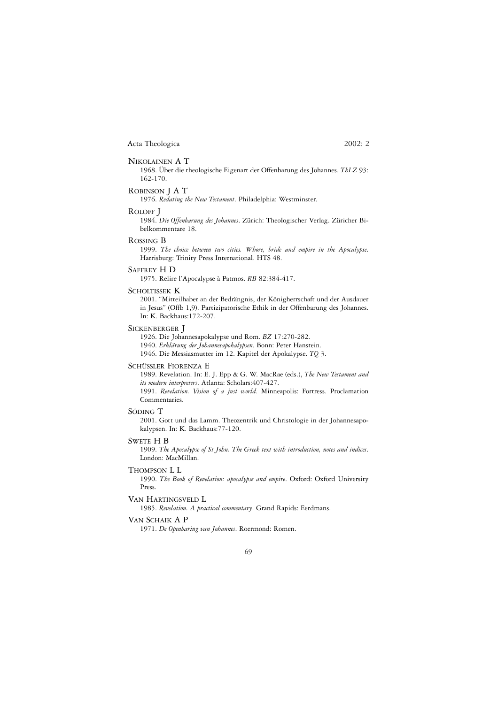#### NIKOLAINEN A T

1968. Über die theologische Eigenart der Offenbarung des Johannes. *ThLZ* 93: 162-170.

#### ROBINSON J A T

1976. *Redating the New Testament*. Philadelphia: Westminster.

#### ROLOFF J

1984. *Die Offenbarung des Johannes*. Zürich: Theologischer Verlag. Züricher Bibelkommentare 18.

#### ROSSING B

1999. *The choice between two cities. Whore, bride and empire in the Apocalypse*. Harrisburg: Trinity Press International. HTS 48.

#### SAFFREY H D

1975. Relire l'Apocalypse à Patmos. *RB* 82:384-417.

#### SCHOLTISSEK K

2001. "Mitteilhaber an der Bedrängnis, der Königherrschaft und der Ausdauer in Jesus" (Offb 1,9). Partizipatorische Ethik in der Offenbarung des Johannes. In: K. Backhaus:172-207.

### SICKENBERGER J

1926. Die Johannesapokalypse und Rom. *BZ* 17:270-282. 1940. *Erklärung der Johannesapokalypsen*. Bonn: Peter Hanstein. 1946. Die Messiasmutter im 12. Kapitel der Apokalypse. *TQ* 3.

### SCHÜSSLER FIORENZA E

1989. Revelation. In: E. J. Epp & G. W. MacRae (eds.), *The New Testament and its modern interpreters*. Atlanta: Scholars:407-427.

1991. *Revelation. Vision of a just world*. Minneapolis: Fortress. Proclamation Commentaries.

#### SÖDING T

2001. Gott und das Lamm. Theozentrik und Christologie in der Johannesapokalypsen. In: K. Backhaus:77-120.

#### SWETE H B

1909. *The Apocalypse of St John. The Greek text with introduction, notes and indices*. London: MacMillan.

#### THOMPSON L L

1990. *The Book of Revelation: apocalypse and empire*. Oxford: Oxford University Press.

#### VAN HARTINGSVELD L

1985. *Revelation. A practical commentary*. Grand Rapids: Eerdmans.

#### VAN SCHAIK A P

1971. *De Openbaring van Johannes*. Roermond: Romen.